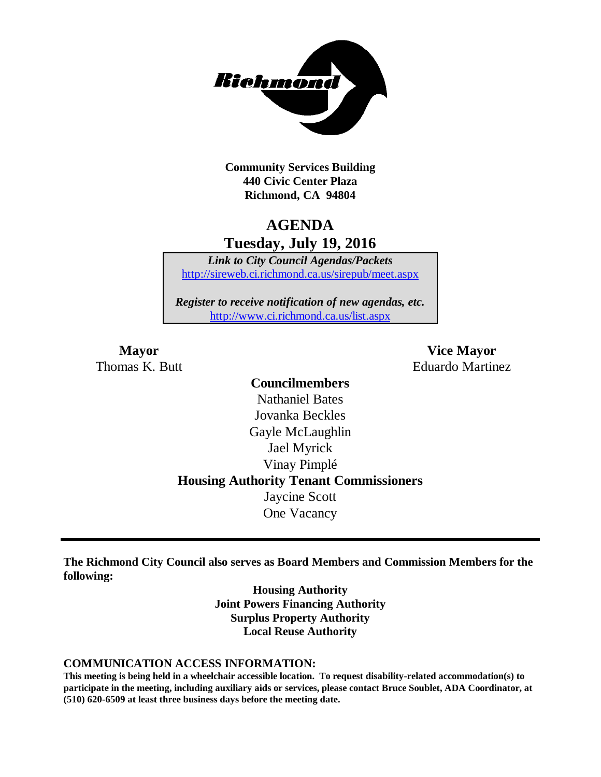

**Community Services Building 440 Civic Center Plaza Richmond, CA 94804**

## **AGENDA Tuesday, July 19, 2016**

*Link to City Council Agendas/Packets* <http://sireweb.ci.richmond.ca.us/sirepub/meet.aspx>

*Register to receive notification of new agendas, etc.* <http://www.ci.richmond.ca.us/list.aspx>

**Mayor Vice Mayor** Thomas K. Butt Eduardo Martinez

## **Councilmembers** Nathaniel Bates Jovanka Beckles Gayle McLaughlin Jael Myrick Vinay Pimplé **Housing Authority Tenant Commissioners** Jaycine Scott One Vacancy

**The Richmond City Council also serves as Board Members and Commission Members for the following:**

> **Housing Authority Joint Powers Financing Authority Surplus Property Authority Local Reuse Authority**

#### **COMMUNICATION ACCESS INFORMATION:**

**This meeting is being held in a wheelchair accessible location. To request disability-related accommodation(s) to participate in the meeting, including auxiliary aids or services, please contact Bruce Soublet, ADA Coordinator, at (510) 620-6509 at least three business days before the meeting date.**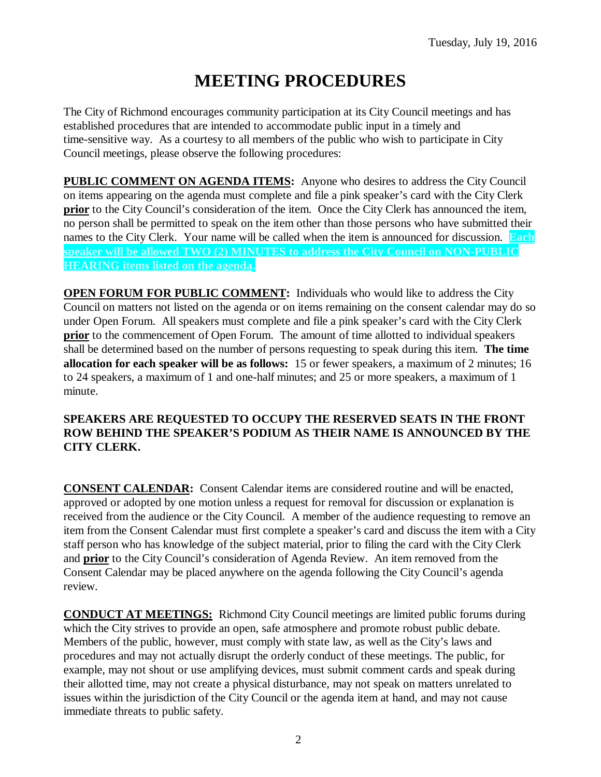# **MEETING PROCEDURES**

The City of Richmond encourages community participation at its City Council meetings and has established procedures that are intended to accommodate public input in a timely and time-sensitive way. As a courtesy to all members of the public who wish to participate in City Council meetings, please observe the following procedures:

**PUBLIC COMMENT ON AGENDA ITEMS:** Anyone who desires to address the City Council on items appearing on the agenda must complete and file a pink speaker's card with the City Clerk **prior** to the City Council's consideration of the item. Once the City Clerk has announced the item, no person shall be permitted to speak on the item other than those persons who have submitted their names to the City Clerk. Your name will be called when the item is announced for discussion. **Each speaker will be allowed TWO (2) MINUTES to address the City Council on NON-PUBLIC HEARING items listed on the agenda.**

**OPEN FORUM FOR PUBLIC COMMENT:** Individuals who would like to address the City Council on matters not listed on the agenda or on items remaining on the consent calendar may do so under Open Forum. All speakers must complete and file a pink speaker's card with the City Clerk **prior** to the commencement of Open Forum. The amount of time allotted to individual speakers shall be determined based on the number of persons requesting to speak during this item. **The time allocation for each speaker will be as follows:** 15 or fewer speakers, a maximum of 2 minutes; 16 to 24 speakers, a maximum of 1 and one-half minutes; and 25 or more speakers, a maximum of 1 minute.

#### **SPEAKERS ARE REQUESTED TO OCCUPY THE RESERVED SEATS IN THE FRONT ROW BEHIND THE SPEAKER'S PODIUM AS THEIR NAME IS ANNOUNCED BY THE CITY CLERK.**

**CONSENT CALENDAR:** Consent Calendar items are considered routine and will be enacted, approved or adopted by one motion unless a request for removal for discussion or explanation is received from the audience or the City Council. A member of the audience requesting to remove an item from the Consent Calendar must first complete a speaker's card and discuss the item with a City staff person who has knowledge of the subject material, prior to filing the card with the City Clerk and **prior** to the City Council's consideration of Agenda Review. An item removed from the Consent Calendar may be placed anywhere on the agenda following the City Council's agenda review.

**CONDUCT AT MEETINGS:** Richmond City Council meetings are limited public forums during which the City strives to provide an open, safe atmosphere and promote robust public debate. Members of the public, however, must comply with state law, as well as the City's laws and procedures and may not actually disrupt the orderly conduct of these meetings. The public, for example, may not shout or use amplifying devices, must submit comment cards and speak during their allotted time, may not create a physical disturbance, may not speak on matters unrelated to issues within the jurisdiction of the City Council or the agenda item at hand, and may not cause immediate threats to public safety.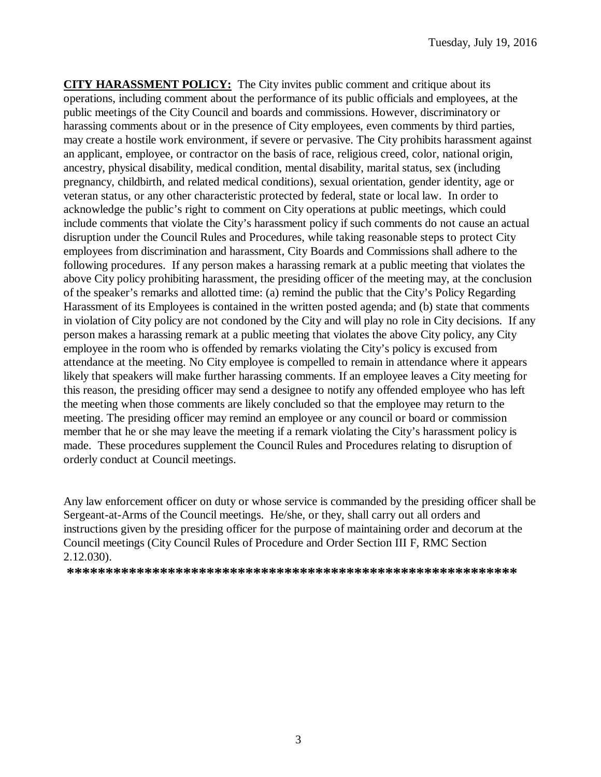**CITY HARASSMENT POLICY:** The City invites public comment and critique about its operations, including comment about the performance of its public officials and employees, at the public meetings of the City Council and boards and commissions. However, discriminatory or harassing comments about or in the presence of City employees, even comments by third parties, may create a hostile work environment, if severe or pervasive. The City prohibits harassment against an applicant, employee, or contractor on the basis of race, religious creed, color, national origin, ancestry, physical disability, medical condition, mental disability, marital status, sex (including pregnancy, childbirth, and related medical conditions), sexual orientation, gender identity, age or veteran status, or any other characteristic protected by federal, state or local law. In order to acknowledge the public's right to comment on City operations at public meetings, which could include comments that violate the City's harassment policy if such comments do not cause an actual disruption under the Council Rules and Procedures, while taking reasonable steps to protect City employees from discrimination and harassment, City Boards and Commissions shall adhere to the following procedures. If any person makes a harassing remark at a public meeting that violates the above City policy prohibiting harassment, the presiding officer of the meeting may, at the conclusion of the speaker's remarks and allotted time: (a) remind the public that the City's Policy Regarding Harassment of its Employees is contained in the written posted agenda; and (b) state that comments in violation of City policy are not condoned by the City and will play no role in City decisions. If any person makes a harassing remark at a public meeting that violates the above City policy, any City employee in the room who is offended by remarks violating the City's policy is excused from attendance at the meeting. No City employee is compelled to remain in attendance where it appears likely that speakers will make further harassing comments. If an employee leaves a City meeting for this reason, the presiding officer may send a designee to notify any offended employee who has left the meeting when those comments are likely concluded so that the employee may return to the meeting. The presiding officer may remind an employee or any council or board or commission member that he or she may leave the meeting if a remark violating the City's harassment policy is made. These procedures supplement the Council Rules and Procedures relating to disruption of orderly conduct at Council meetings.

Any law enforcement officer on duty or whose service is commanded by the presiding officer shall be Sergeant-at-Arms of the Council meetings. He/she, or they, shall carry out all orders and instructions given by the presiding officer for the purpose of maintaining order and decorum at the Council meetings (City Council Rules of Procedure and Order Section III F, RMC Section 2.12.030).

**\*\*\*\*\*\*\*\*\*\*\*\*\*\*\*\*\*\*\*\*\*\*\*\*\*\*\*\*\*\*\*\*\*\*\*\*\*\*\*\*\*\*\*\*\*\*\*\*\*\*\*\*\*\*\*\*\*\***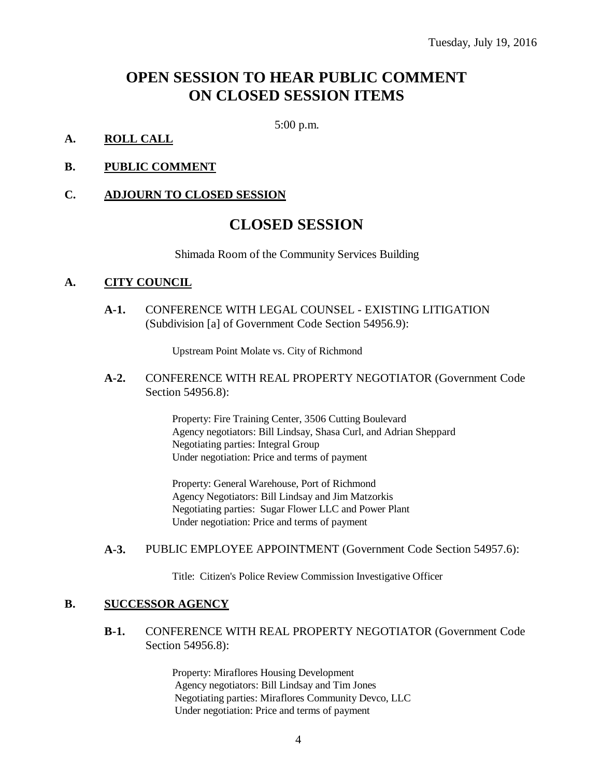## **OPEN SESSION TO HEAR PUBLIC COMMENT ON CLOSED SESSION ITEMS**

5:00 p.m.

#### **A. ROLL CALL**

#### **B. PUBLIC COMMENT**

#### **C. ADJOURN TO CLOSED SESSION**

## **CLOSED SESSION**

Shimada Room of the Community Services Building

#### **A. CITY COUNCIL**

**A-1.** CONFERENCE WITH LEGAL COUNSEL - EXISTING LITIGATION (Subdivision [a] of Government Code Section 54956.9):

Upstream Point Molate vs. City of Richmond

**A-2.** CONFERENCE WITH REAL PROPERTY NEGOTIATOR (Government Code Section 54956.8):

> Property: Fire Training Center, 3506 Cutting Boulevard Agency negotiators: Bill Lindsay, Shasa Curl, and Adrian Sheppard Negotiating parties: Integral Group Under negotiation: Price and terms of payment

Property: General Warehouse, Port of Richmond Agency Negotiators: Bill Lindsay and Jim Matzorkis Negotiating parties: Sugar Flower LLC and Power Plant Under negotiation: Price and terms of payment

#### **A-3.** PUBLIC EMPLOYEE APPOINTMENT (Government Code Section 54957.6):

Title: Citizen's Police Review Commission Investigative Officer

#### **B. SUCCESSOR AGENCY**

#### **B-1.** CONFERENCE WITH REAL PROPERTY NEGOTIATOR (Government Code Section 54956.8):

Property: Miraflores Housing Development Agency negotiators: Bill Lindsay and Tim Jones Negotiating parties: Miraflores Community Devco, LLC Under negotiation: Price and terms of payment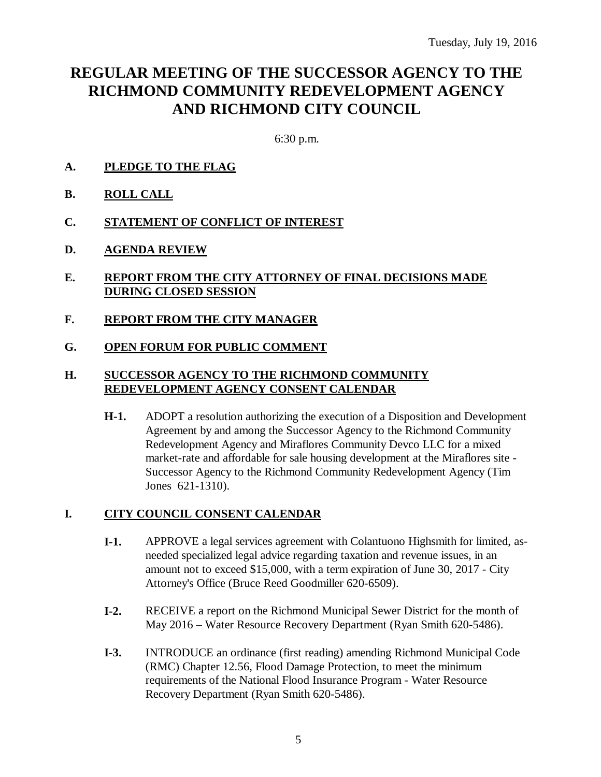## **REGULAR MEETING OF THE SUCCESSOR AGENCY TO THE RICHMOND COMMUNITY REDEVELOPMENT AGENCY AND RICHMOND CITY COUNCIL**

6:30 p.m.

- **A. PLEDGE TO THE FLAG**
- **B. ROLL CALL**
- **C. STATEMENT OF CONFLICT OF INTEREST**
- **D. AGENDA REVIEW**
- **E. REPORT FROM THE CITY ATTORNEY OF FINAL DECISIONS MADE DURING CLOSED SESSION**
- **F. REPORT FROM THE CITY MANAGER**
- **G. OPEN FORUM FOR PUBLIC COMMENT**

#### **H. SUCCESSOR AGENCY TO THE RICHMOND COMMUNITY REDEVELOPMENT AGENCY CONSENT CALENDAR**

**H-1.** ADOPT a resolution authorizing the execution of a Disposition and Development Agreement by and among the Successor Agency to the Richmond Community Redevelopment Agency and Miraflores Community Devco LLC for a mixed market-rate and affordable for sale housing development at the Miraflores site - Successor Agency to the Richmond Community Redevelopment Agency (Tim Jones 621-1310).

#### **I. CITY COUNCIL CONSENT CALENDAR**

- **I-1.** APPROVE a legal services agreement with Colantuono Highsmith for limited, asneeded specialized legal advice regarding taxation and revenue issues, in an amount not to exceed \$15,000, with a term expiration of June 30, 2017 - City Attorney's Office (Bruce Reed Goodmiller 620-6509).
- **I-2.** RECEIVE a report on the Richmond Municipal Sewer District for the month of May 2016 – Water Resource Recovery Department (Ryan Smith 620-5486).
- **I-3.** INTRODUCE an ordinance (first reading) amending Richmond Municipal Code (RMC) Chapter 12.56, Flood Damage Protection, to meet the minimum requirements of the National Flood Insurance Program - Water Resource Recovery Department (Ryan Smith 620-5486).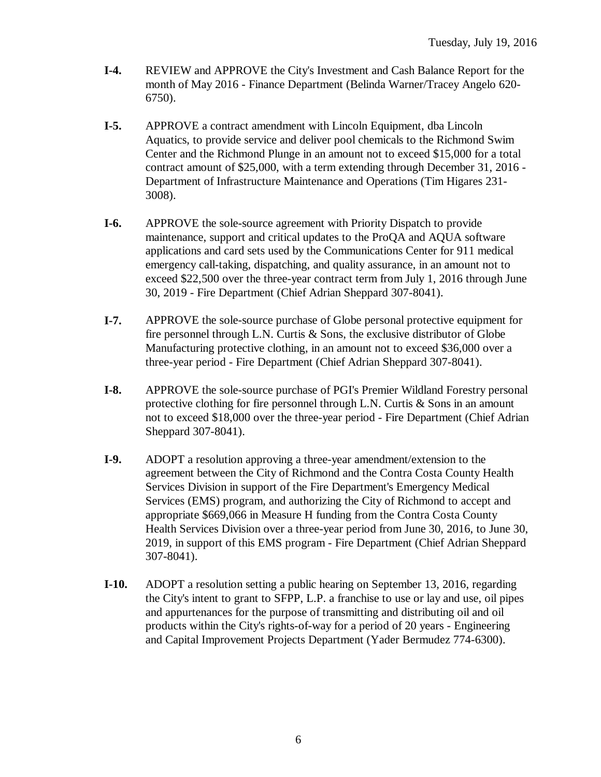- **I-4.** REVIEW and APPROVE the City's Investment and Cash Balance Report for the month of May 2016 - Finance Department (Belinda Warner/Tracey Angelo 620- 6750).
- **I-5.** APPROVE a contract amendment with Lincoln Equipment, dba Lincoln Aquatics, to provide service and deliver pool chemicals to the Richmond Swim Center and the Richmond Plunge in an amount not to exceed \$15,000 for a total contract amount of \$25,000, with a term extending through December 31, 2016 - Department of Infrastructure Maintenance and Operations (Tim Higares 231- 3008).
- **I-6.** APPROVE the sole-source agreement with Priority Dispatch to provide maintenance, support and critical updates to the ProQA and AQUA software applications and card sets used by the Communications Center for 911 medical emergency call-taking, dispatching, and quality assurance, in an amount not to exceed \$22,500 over the three-year contract term from July 1, 2016 through June 30, 2019 - Fire Department (Chief Adrian Sheppard 307-8041).
- **I-7.** APPROVE the sole-source purchase of Globe personal protective equipment for fire personnel through L.N. Curtis & Sons, the exclusive distributor of Globe Manufacturing protective clothing, in an amount not to exceed \$36,000 over a three-year period - Fire Department (Chief Adrian Sheppard 307-8041).
- **I-8.** APPROVE the sole-source purchase of PGI's Premier Wildland Forestry personal protective clothing for fire personnel through L.N. Curtis & Sons in an amount not to exceed \$18,000 over the three-year period - Fire Department (Chief Adrian Sheppard 307-8041).
- **I-9.** ADOPT a resolution approving a three-year amendment/extension to the agreement between the City of Richmond and the Contra Costa County Health Services Division in support of the Fire Department's Emergency Medical Services (EMS) program, and authorizing the City of Richmond to accept and appropriate \$669,066 in Measure H funding from the Contra Costa County Health Services Division over a three-year period from June 30, 2016, to June 30, 2019, in support of this EMS program - Fire Department (Chief Adrian Sheppard 307-8041).
- **I-10.** ADOPT a resolution setting a public hearing on September 13, 2016, regarding the City's intent to grant to SFPP, L.P. a franchise to use or lay and use, oil pipes and appurtenances for the purpose of transmitting and distributing oil and oil products within the City's rights-of-way for a period of 20 years - Engineering and Capital Improvement Projects Department (Yader Bermudez 774-6300).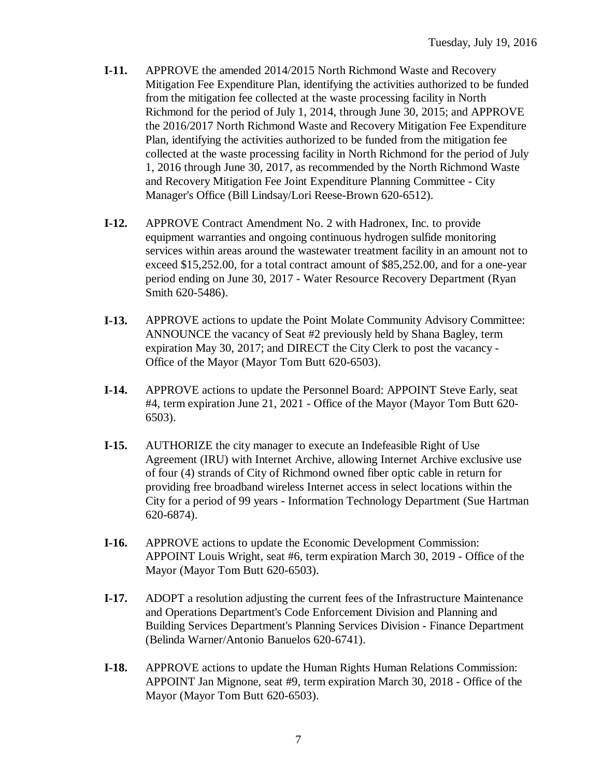- **I-11.** APPROVE the amended 2014/2015 North Richmond Waste and Recovery Mitigation Fee Expenditure Plan, identifying the activities authorized to be funded from the mitigation fee collected at the waste processing facility in North Richmond for the period of July 1, 2014, through June 30, 2015; and APPROVE the 2016/2017 North Richmond Waste and Recovery Mitigation Fee Expenditure Plan, identifying the activities authorized to be funded from the mitigation fee collected at the waste processing facility in North Richmond for the period of July 1, 2016 through June 30, 2017, as recommended by the North Richmond Waste and Recovery Mitigation Fee Joint Expenditure Planning Committee - City Manager's Office (Bill Lindsay/Lori Reese-Brown 620-6512).
- **I-12.** APPROVE Contract Amendment No. 2 with Hadronex, Inc. to provide equipment warranties and ongoing continuous hydrogen sulfide monitoring services within areas around the wastewater treatment facility in an amount not to exceed \$15,252.00, for a total contract amount of \$85,252.00, and for a one-year period ending on June 30, 2017 - Water Resource Recovery Department (Ryan Smith 620-5486).
- **I-13.** APPROVE actions to update the Point Molate Community Advisory Committee: ANNOUNCE the vacancy of Seat #2 previously held by Shana Bagley, term expiration May 30, 2017; and DIRECT the City Clerk to post the vacancy - Office of the Mayor (Mayor Tom Butt 620-6503).
- **I-14.** APPROVE actions to update the Personnel Board: APPOINT Steve Early, seat #4, term expiration June 21, 2021 - Office of the Mayor (Mayor Tom Butt 620- 6503).
- **I-15.** AUTHORIZE the city manager to execute an Indefeasible Right of Use Agreement (IRU) with Internet Archive, allowing Internet Archive exclusive use of four (4) strands of City of Richmond owned fiber optic cable in return for providing free broadband wireless Internet access in select locations within the City for a period of 99 years - Information Technology Department (Sue Hartman 620-6874).
- **I-16.** APPROVE actions to update the Economic Development Commission: APPOINT Louis Wright, seat #6, term expiration March 30, 2019 - Office of the Mayor (Mayor Tom Butt 620-6503).
- **I-17.** ADOPT a resolution adjusting the current fees of the Infrastructure Maintenance and Operations Department's Code Enforcement Division and Planning and Building Services Department's Planning Services Division - Finance Department (Belinda Warner/Antonio Banuelos 620-6741).
- **I-18.** APPROVE actions to update the Human Rights Human Relations Commission: APPOINT Jan Mignone, seat #9, term expiration March 30, 2018 - Office of the Mayor (Mayor Tom Butt 620-6503).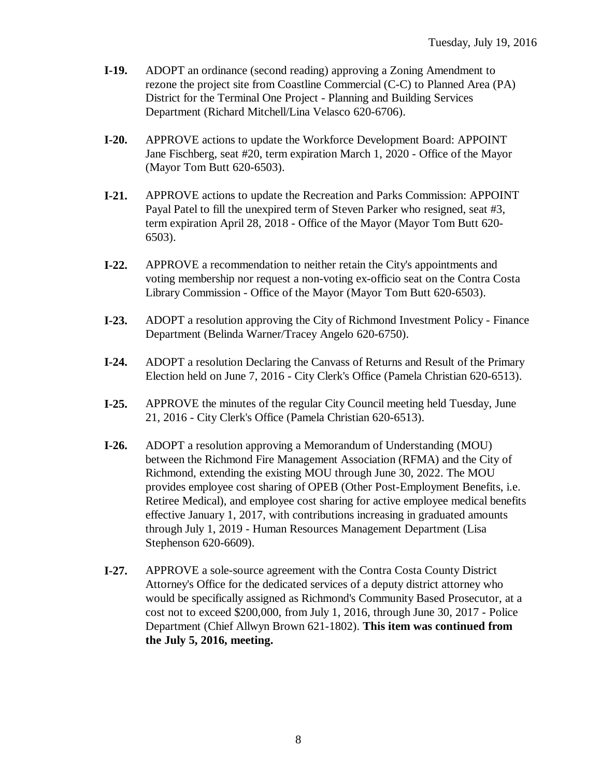- **I-19.** ADOPT an ordinance (second reading) approving a Zoning Amendment to rezone the project site from Coastline Commercial (C-C) to Planned Area (PA) District for the Terminal One Project - Planning and Building Services Department (Richard Mitchell/Lina Velasco 620-6706).
- **I-20.** APPROVE actions to update the Workforce Development Board: APPOINT Jane Fischberg, seat #20, term expiration March 1, 2020 - Office of the Mayor (Mayor Tom Butt 620-6503).
- **I-21.** APPROVE actions to update the Recreation and Parks Commission: APPOINT Payal Patel to fill the unexpired term of Steven Parker who resigned, seat #3, term expiration April 28, 2018 - Office of the Mayor (Mayor Tom Butt 620- 6503).
- **I-22.** APPROVE a recommendation to neither retain the City's appointments and voting membership nor request a non-voting ex-officio seat on the Contra Costa Library Commission - Office of the Mayor (Mayor Tom Butt 620-6503).
- **I-23.** ADOPT a resolution approving the City of Richmond Investment Policy Finance Department (Belinda Warner/Tracey Angelo 620-6750).
- **I-24.** ADOPT a resolution Declaring the Canvass of Returns and Result of the Primary Election held on June 7, 2016 - City Clerk's Office (Pamela Christian 620-6513).
- **I-25.** APPROVE the minutes of the regular City Council meeting held Tuesday, June 21, 2016 - City Clerk's Office (Pamela Christian 620-6513).
- **I-26.** ADOPT a resolution approving a Memorandum of Understanding (MOU) between the Richmond Fire Management Association (RFMA) and the City of Richmond, extending the existing MOU through June 30, 2022. The MOU provides employee cost sharing of OPEB (Other Post-Employment Benefits, i.e. Retiree Medical), and employee cost sharing for active employee medical benefits effective January 1, 2017, with contributions increasing in graduated amounts through July 1, 2019 - Human Resources Management Department (Lisa Stephenson 620-6609).
- **I-27.** APPROVE a sole-source agreement with the Contra Costa County District Attorney's Office for the dedicated services of a deputy district attorney who would be specifically assigned as Richmond's Community Based Prosecutor, at a cost not to exceed \$200,000, from July 1, 2016, through June 30, 2017 - Police Department (Chief Allwyn Brown 621-1802). **This item was continued from the July 5, 2016, meeting.**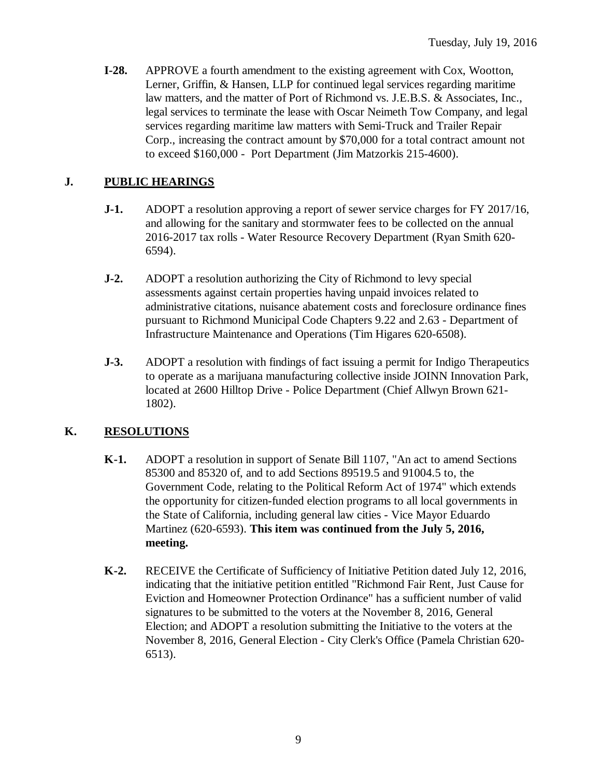**I-28.** APPROVE a fourth amendment to the existing agreement with Cox, Wootton, Lerner, Griffin, & Hansen, LLP for continued legal services regarding maritime law matters, and the matter of Port of Richmond vs. J.E.B.S. & Associates, Inc., legal services to terminate the lease with Oscar Neimeth Tow Company, and legal services regarding maritime law matters with Semi-Truck and Trailer Repair Corp., increasing the contract amount by \$70,000 for a total contract amount not to exceed \$160,000 - Port Department (Jim Matzorkis 215-4600).

### **J. PUBLIC HEARINGS**

- **J-1.** ADOPT a resolution approving a report of sewer service charges for FY 2017/16, and allowing for the sanitary and stormwater fees to be collected on the annual 2016-2017 tax rolls - Water Resource Recovery Department (Ryan Smith 620- 6594).
- **J-2.** ADOPT a resolution authorizing the City of Richmond to levy special assessments against certain properties having unpaid invoices related to administrative citations, nuisance abatement costs and foreclosure ordinance fines pursuant to Richmond Municipal Code Chapters 9.22 and 2.63 - Department of Infrastructure Maintenance and Operations (Tim Higares 620-6508).
- **J-3.** ADOPT a resolution with findings of fact issuing a permit for Indigo Therapeutics to operate as a marijuana manufacturing collective inside JOINN Innovation Park, located at 2600 Hilltop Drive - Police Department (Chief Allwyn Brown 621- 1802).

### **K. RESOLUTIONS**

- **K-1.** ADOPT a resolution in support of Senate Bill 1107, "An act to amend Sections 85300 and 85320 of, and to add Sections 89519.5 and 91004.5 to, the Government Code, relating to the Political Reform Act of 1974" which extends the opportunity for citizen-funded election programs to all local governments in the State of California, including general law cities - Vice Mayor Eduardo Martinez (620-6593). **This item was continued from the July 5, 2016, meeting.**
- **K-2.** RECEIVE the Certificate of Sufficiency of Initiative Petition dated July 12, 2016, indicating that the initiative petition entitled "Richmond Fair Rent, Just Cause for Eviction and Homeowner Protection Ordinance" has a sufficient number of valid signatures to be submitted to the voters at the November 8, 2016, General Election; and ADOPT a resolution submitting the Initiative to the voters at the November 8, 2016, General Election - City Clerk's Office (Pamela Christian 620- 6513).